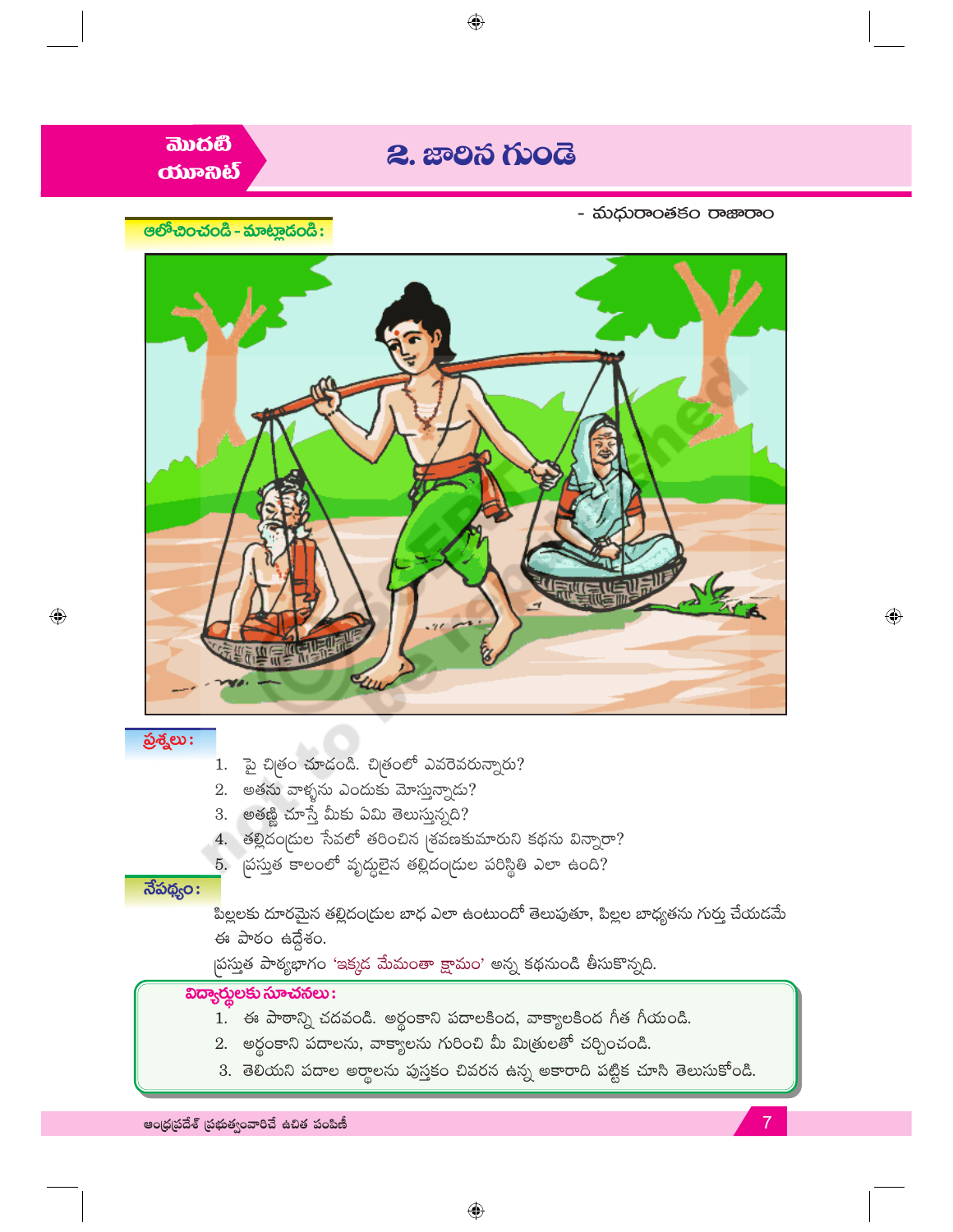

3. తెలియని పదాల అర్థాలను పుస్తకం చివరన ఉన్న అకారాది పట్టిక చూసి తెలుసుకోండి.

ఆంధ్రపదేశ్ (పభుత్వంవారిచే ఉచిత పంపిణీ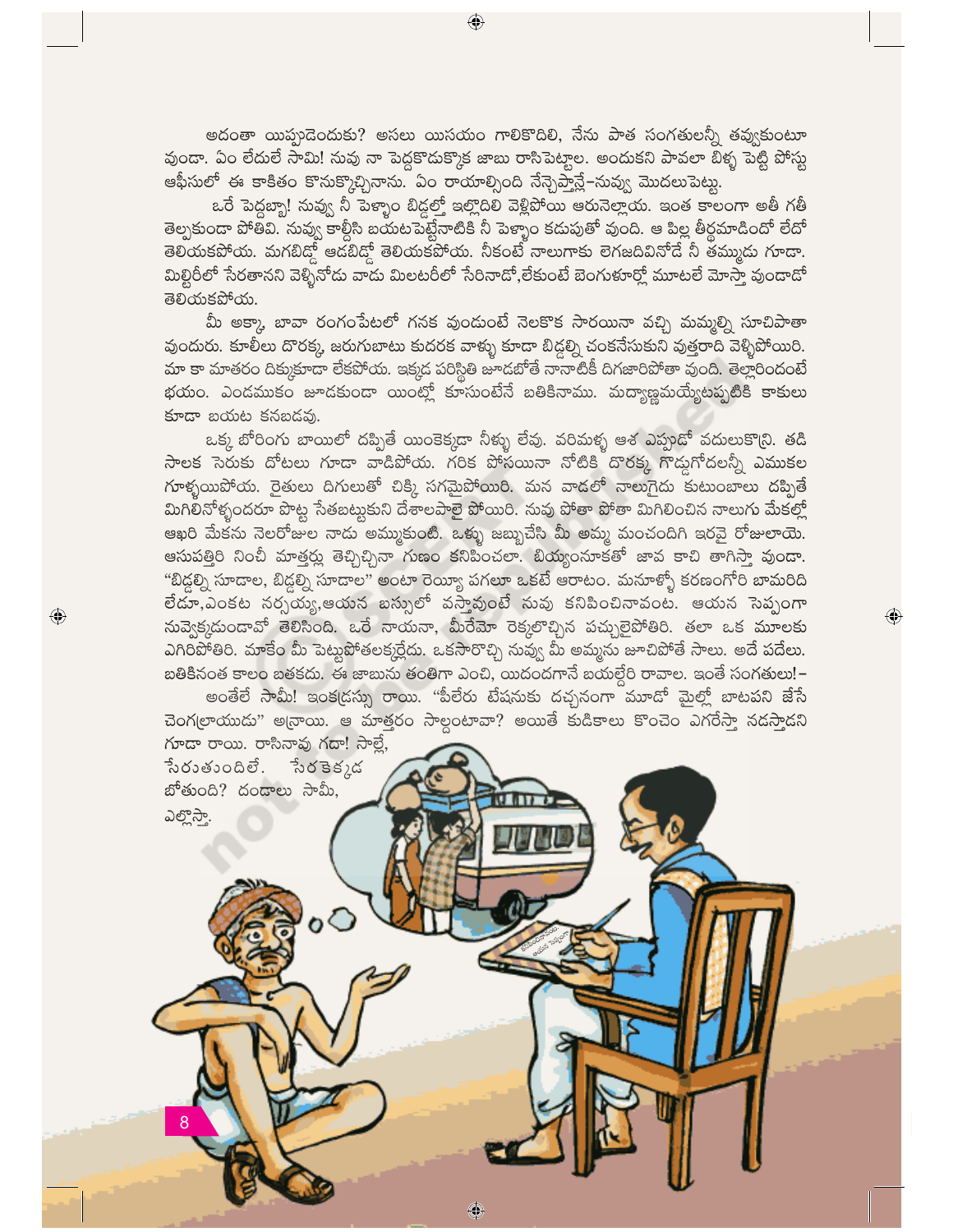అదంతా యిప్పదెందుకు? అసలు యిసయం గాలికొదిలి, నేను పాత సంగతులన్నీ తవ్వుకుంటూ వుందా. ఏం లేదులే సామి! నువు నా పెద్దకొదుక్కొక జాబు రాసిపెట్టాల. అందుకని పావలా బిళ్ళ పెట్టి పోస్టు ఆఫీసులో ఈ కాకితం కొనుక్కొచ్చినాను. ఏం రాయాల్సింది నేన్చెప్తాన్లే–నువ్వు మొదలుపెట్టు.

ఒరే పెద్దబ్బా! నువ్వు నీ పెళ్ళాం బిడ్డల్తో ఇల్లొదిలి వెళ్లిపోయి ఆరునెల్లాయ. ఇంత కాలంగా అతీ గతీ తెల్పకుండా పోతివి. నువ్వు కాల్గీసి బయటపెట్టేనాటికి నీ పెళ్ళాం కడుపుతో వుంది. ఆ పిల్ల తీర్ధమాడిందో లేదో తెలయకపోయ. మగబిడ్గో ఆడబిడ్గో తెలియకపోయ. నీకంటే నాలుగాకు లెగజదివినోడే నీ తమ్ముడు గూడా. మిల్టిరీలో సేరతానని వెళ్ళినోడు వాడు మిలటరీలో సేరినాడో,లేకుంటే బెంగుళూర్లో మూటలే మోస్తా వుండాడో తెలియకపోయ.

మీ అక్కా బావా రంగంపేటలో గనక వుందుంటే నెలకొక సారయినా వచ్చి మమ్మల్ని సూచిపాతా వుందురు. కూలీలు దొరక్క జరుగుబాటు కుదరక వాళ్ళు కూడా బిడ్డల్ని చంకనేసుకుని వుత్తరాది వెళ్ళిపోయిరి. మా కా మాతరం దిక్కుకూడా లేకపోయ. ఇక్కడ పరిస్థితి జూడబోతే నానాటికీ దిగజారిపోతా వుంది. తెల్లారిందంటే భయం. ఎండముకం జూడకుండా యింట్లో కూసుంటేనే బతికినాము. మద్యాణ్ఞమయ్యేటప్పటికి కాకులు కూడా బయట కనబడవు.

ఒక్క బోరింగు బాయిలో దప్పితే యింకెక్కడా నీళ్ళు లేవు. వరిమళ్ళ ఆశ ఎప్పుడో వదులుకొ(ని. తడి సాలక సెరుకు దోటలు గూడా వాడిపోయ. గరిక పోసయినా నోటికి దొరక్క గొడ్డగోదలన్నీ ఎముకల గూళ్ళయిపోయ. రైతులు దిగులుతో చిక్కి సగమైపోయిరి. మన వాడలో నాలుగైదు కుటుంబాలు దప్పితే మిగిలినోళ్ళందరూ పొట్ట సేతబట్టుకుని దేశాలపాలై పోయిరి. నువు పోతా పోతా మిగిలించిన నాలుగు మేకల్లో ఆఖరి మేకను నెలరోజుల నాదు అమ్ముకుంటి. ఒక్ళు జబ్బుచేసి మీ అమ్మ మంచందిగి ఇరవై రోజులాయె. ఆసుపత్తిరి నించీ మాత్తర్లు తెచ్చిచ్చినా గుణం కనిపించలా. బియ్యంనూకతో జావ కాచి తాగిస్తా వుండా. "బిడ్డల్ని సూదాల, బిడ్డల్ని సూదాల" అంటా రెయ్యీ పగలూ ఒకటే ఆరాటం. మనూళ్ళో కరణంగోరి బామరిది లేడూ,ఎంకట నర్సయ్య,ఆయన బస్సులో వస్తావుంటే నువు కనిపించినావంట. ఆయన సెప్పంగా సువ్వెక్కడుండావో తెలిసింది. ఒరే నాయనా, మీరేమో రెక్కలొచ్చిన పచ్చులైపోతిరి. తలా ఒక మూలకు ఎగిరిపోతిరి. మాకేం మీ పెట్టుపోతలక్కర్లేదు. ఒకసారొచ్చి నువ్వు మీ అమ్మను జూచిపోతే సాలు. అదే పదేలు. బతికినంత కాలం బతకదు. ఈ జాబును తంతిగా ఎంచి, యిదందగానే బయల్దేరి రావాల. ఇంతే సంగతులు!-

 $\textcolor{black}{\textcircled{\small\textrm{-}}}$ 

అంతేలే సామీ! ఇంక(డస్సు రాయి. "పీలేరు టేషనుకు దచ్చనంగా మూడో మైల్లో బాటపని జేసే చెంగలాయుడు" అనాయి. ఆ మాత్తరం సాల్గంటావా? అయితే కుడికాలు కొంచెం ఎగరేస్తా నడసాదని గూడా రాయి. రాసినావు గదా! సాల్లే,

◈

సేరుతుందిలే. సేరకెక్కడ బోతుంది? దండాలు సామీ, ಎಲ್ಲಿನ್ತಾ.

 $\bigcirc$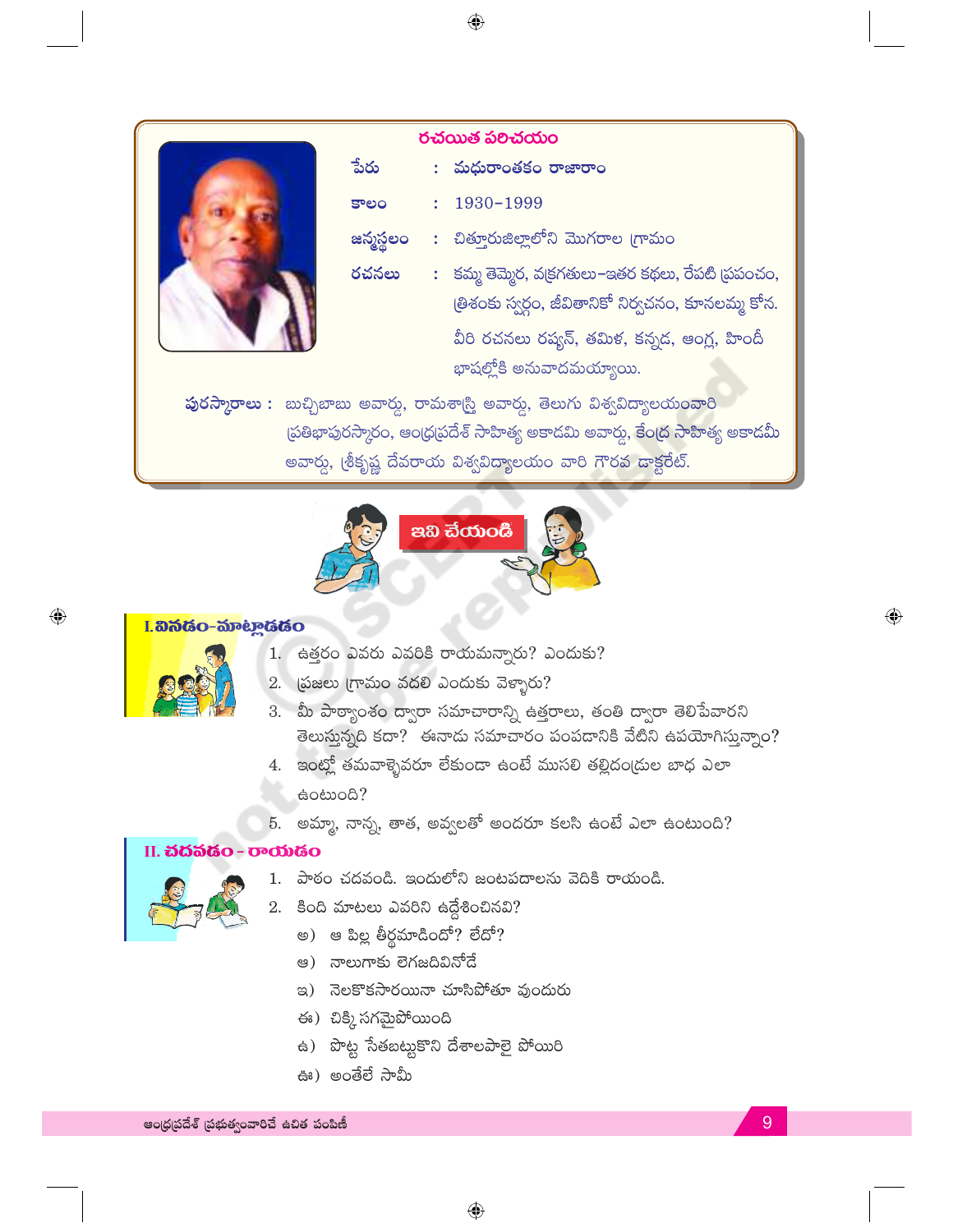| రచయిత పలిచయం |           |  |                                                     |  |  |
|--------------|-----------|--|-----------------------------------------------------|--|--|
|              | పేరు      |  | : మధురాంతకం రాజారాం                                 |  |  |
|              | కాలం      |  | 1930-1999                                           |  |  |
|              | జన్మస్థలం |  | : చిత్తూరుజిల్లాలోని మొగరాల (గామం                   |  |  |
|              | రచనలు     |  | : కమ్మ తెమ్మెర, వ(కగతులు–ఇతర కథలు, రేపటి (పపంచం,    |  |  |
|              |           |  | త్రిశంకు స్వర్గం, జీవితానికో నిర్వచనం, కూనలమ్మ కోన. |  |  |
|              |           |  | వీరి రచనలు రష్యన్, తమిళ, కన్నడ, ఆంగ్ల, హిందీ        |  |  |
|              |           |  | భాషల్హోకి అనువాదమయ్యాయి.                            |  |  |

పురస్మారాలు : బుచ్చిబాబు అవార్డు, రామశాస్త్రి అవార్డు, తెలుగు విశ్వవిద్యాలయంవారి స్రతిభాపురస్కారం, ఆంధ్రప్రదేశ్ సాహిత్య అకాడమి అవార్డు, <mark>కేంద్ర సాహి</mark>త్య అకాడమీ అవార్డు, (శీకృష్ణ దేవరాయ విశ్వవిద్యాలయం వారి గౌరవ దాక్టరేట్.



# I. හිතියිං-කිාංහුයියිං



 $\bigodot$ 

- 1. ఉత్తరం ఎవరు ఎవరికి రాయమన్నారు? ఎందుకు?
- 2. (పజలు గ్రామం వదలి ఎందుకు వెళ్ళారు?
- 3. మీ పాఠ్యాంశం ద్వారా సమాచారాన్ని ఉత్తరాలు, తంతి ద్వారా తెలిపేవారని తెలుస్తున్నది కదా? ఈనాడు సమాచారం పంపడానికి వేటిని ఉపయోగిస్తున్నాం?
- 4. ఇంట్లో తమవాళ్ళెవరూ లేకుండా ఉంటే ముసలి తల్లిదం(దుల బాధ ఎలా eocood?
- 5. అమ్మా, నాన్న, తాత, అవ్వలతో అందరూ కలసి ఉంటే ఎలా ఉంటుంది?

### II. *idáštio* - *v*oditio



- పాఠం చదవండి. ఇందులోని జంటపదాలను వెదికి రాయండి. 1.
- కింది మాటలు ఎవరిని ఉద్దేశించినవి? 2.
	- అ) ఆ పిల్ల తీర్థమాడిందో? లేదో?
	- అ) నాలుగాకు లెగజదివినోదే
	- ఇ) నెలకొకసారయినా చూసిపోతూ వుందురు
	- ఈ) చిక్కి సగమైపోయింది
	- ఉ) పొట్ట సేతబట్టుకొని దేశాలపాలై పోయిరి
	- ఊ) అంతేలే సామీ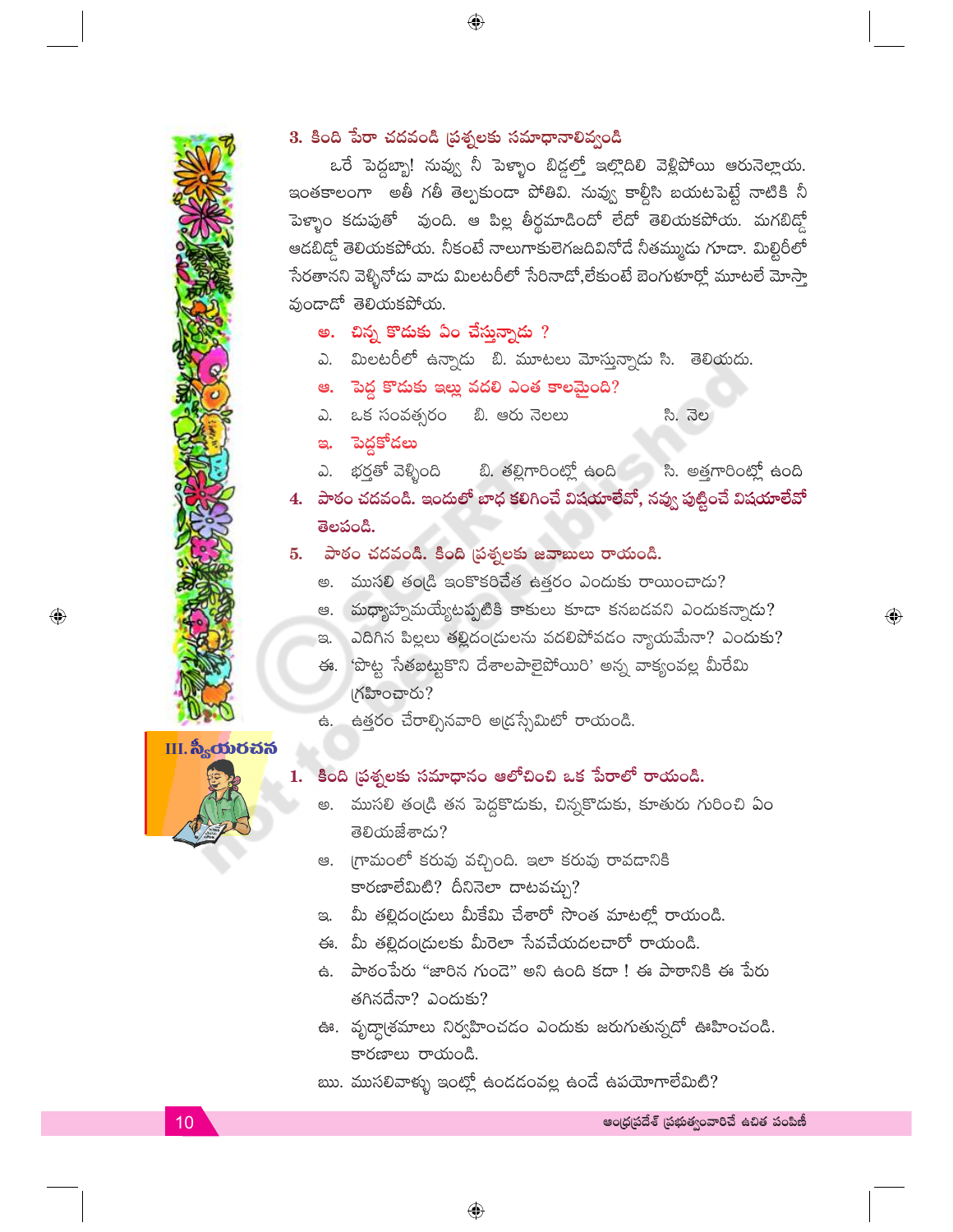

 $\textcolor{black}{\textcircled{\small\textrm{-}}}$ 

# 3. కింది పేరా చదవండి (పశ్నలకు సమాధానాలివ్వండి

ఒరే పెద్దబ్బా! నువ్వు నీ పెళ్ళాం బిడ్డల్తో ఇల్లొదిలి వెళ్లిపోయి ఆరునెల్లాయ. ఇంతకాలంగా అతీ గతీ తెల్పకుండా పోతివి. నువ్వ కాల్గీసి బయటపెట్టే నాటికి నీ పెళ్ళాం కడుపుతో పుంది. ఆ పిల్ల తీర్థమాడిందో లేదో తెలియకపోయ. మగబిడ్గో ఆడబిడ్తో తెలియకపోయ. నీకంటే నాలుగాకులెగజదివినోదే నీతమ్ముడు గూడా. మిల్టిరీలో సేరతానని వెళ్ళినోడు వాడు మిలటరీలో సేరినాడో,లేకుంటే బెంగుళూర్లో మూటలే మోస్తా వుండాడో తెలియకపోయ.

- అ. చిన్న కొదుకు ఏం చేస్తున్నాడు ?
- ఎ. మిలటరీలో ఉన్నాడు బి. మూటలు మోస్తున్నాడు సి. తెలియదు.
- ఆ. పెద్ద కొదుకు ఇల్లు వదలి ఎంత కాలమైంది?
- ఎ. ఒక సంవత్సరం బి. ఆరు నెలలు సి. నెల
- ఇ. పెద్దకోడలు
- ఎ. భర్తతో వెళ్ళింది బి. తల్లిగారింట్లో ఉంది - సి. అత్తగారింట్లో ఉంది
- 4. పాఠం చదవండి. ఇందులో బాధ కలిగించే విషయాలేవో, నవ్వు పుట్టించే విషయాలేవో తెలపండి.
- 5. పాఠం చదవండి. కింది [పశ్నలకు జవాబులు రాయండి.
	- అ. ముసలి తండ్రి ఇంకొకరిచేత ఉత్తరం ఎందుకు రాయించాడు?
	- ఆ. మధ్యాహ్నమయ్యేటప్పటికి కాకులు కూడా కనబడవని ఎందుకన్నాడు?
	- ఇ. ఎదిగిన పిల్లలు తల్లిదం(దులను వదలిపోవడం న్యాయమేనా? ఎందుకు?
	- ఈ. 'పొట్ట సేతబట్టుకొని దేశాలపాలైపోయిరి' అన్న వాక్యంవల్ల మీరేమి (గహించారు?
	- ఉత్తరం చేరాల్సినవారి అ(డస్సేమిటో రాయండి. <del>Ġ</del>.



#### కింది (పశ్నలకు సమాధానం ఆలోచించి ఒక పేరాలో రాయండి. 1.

- అ. ముసలి తండ్రి తన పెద్దకొదుకు, చిన్నకొదుకు, కూతురు గురించి ఏం తెలియజేశాడు?
- ఆ. గ్రామంలో కరువు వచ్చింది. ఇలా కరువు రావడానికి కారణాలేమిటి? దీనినెలా దాటవచ్చు?
- ఇ. మీ తల్లిదం(దులు మీకేమి చేశారో సొంత మాటల్లో రాయండి.
- ఈ. మీ తల్లిదం(దులకు మీరెలా సేవచేయదలచారో రాయండి.
- ఉ. పాఠంపేరు "జారిన గుండె" అని ఉంది కదా ! ఈ పాఠానికి ఈ పేరు తగినదేనా? ఎందుకు?
- ఊ. వృద్ధా(శమాలు నిర్వహించడం ఎందుకు జరుగుతున్నదో ఊహించండి. కారణాలు రాయండి.
- ఋ. ముసలివాళ్ళు ఇంట్లో ఉండడంవల్ల ఉండే ఉపయోగాలేమిటి?

 $\textcolor{black}{\textcolor{black}{\bigoplus}}$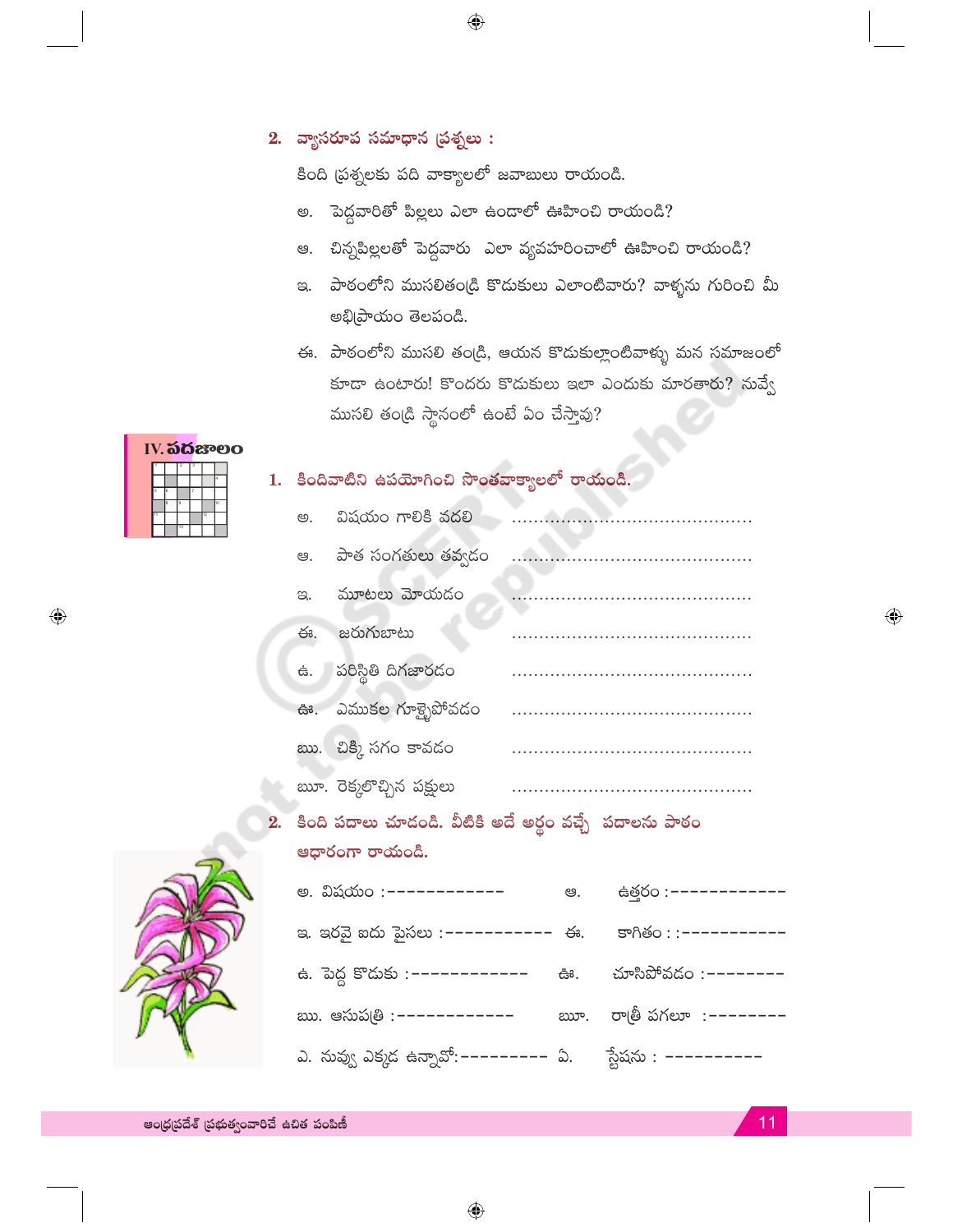# $2.$  వ్యాసరూప సమాధాన (పశ్నలు :

కింది (పశ్నలకు పది వాక్యాలలో జవాబులు రాయండి.

 $\bigoplus$ 

- అ. పెద్దవారితో పిల్లలు ఎలా ఉందాలో ఊహించి రాయండి?
- చిన్నపిల్లలతో పెద్దవారు 'ఎలా వ్యవహరించాలో ఊహించి రాయండి? ඏ.
- ఇ. పాఠంలోని ముసలితండ్రి కొడుకులు ఎలాంటివారు? వాళ్ళను గురించి మీ అభి[పాయం తెలపండి.
- ఈ. పాఠంలోని ముసలి తండ్రి, ఆయన కొదుకుల్లాంటివాళ్ళు మన సమాజంలో కూడా ఉంటారు! కొందరు కొడుకులు ఇలా ఎందుకు మారతారు? నువ్వే ముసలి తండ్రి స్థానంలో ఉంటే ఏం చేస్తావు?

|  | IV. <b>ಎದೆ</b> ಜಾಲc |    |    |  |
|--|---------------------|----|----|--|
|  |                     |    |    |  |
|  |                     |    |    |  |
|  |                     |    |    |  |
|  |                     |    | ٢ö |  |
|  |                     | 12 |    |  |
|  | 12                  |    |    |  |

 $\bigoplus$ 

# 1. కిందివాటిని ఉపయోగించి సొంతవాక్యాలలో రాయండి.

| ල.         | విషయం గాలికి వదలి       |  |
|------------|-------------------------|--|
|            | ఆ. పాత సంగతులు తవ్వదం   |  |
| $\infty$ . | మూటలు మోయదం             |  |
| ఈ.         | జరుగుబాటు               |  |
|            | ఉ. పరిస్థితి దిగజారడం   |  |
|            | ఊ. ఎముకల గూళ్ళైపోవడం    |  |
|            | ఋ. చిక్కి సగం కావడం     |  |
|            | ౠ. రెక్కలొచ్చిన పక్షులు |  |

# 2. కింది పదాలు చూడండి. వీటికి అదే అర్థం వచ్చే పదాలను పాఠం ఆధారంగా రాయండి.



| అ. విషయం :–––––––––––                | ఆ. | ස්ඡ්රං :-----------          |
|--------------------------------------|----|------------------------------|
| ఇ. ఇరవై ఐదు పైసలు :–––––––––– ఈ.     |    | కాగితం : : - - - - - - - - - |
| ఉ. పెద్ద కొదుకు :–––––––––––         | ఊ. | మాసిపోవడం :--------          |
| ఋ. ఆసుప@ :------------               |    | ౠ. రాత్రీ పగలూ :--------     |
| ఎ. నువ్వు ఎక్కడ ఉన్నావో:--------- ఏ. |    | స్టేషను :  –––––––––         |

 $\bigoplus$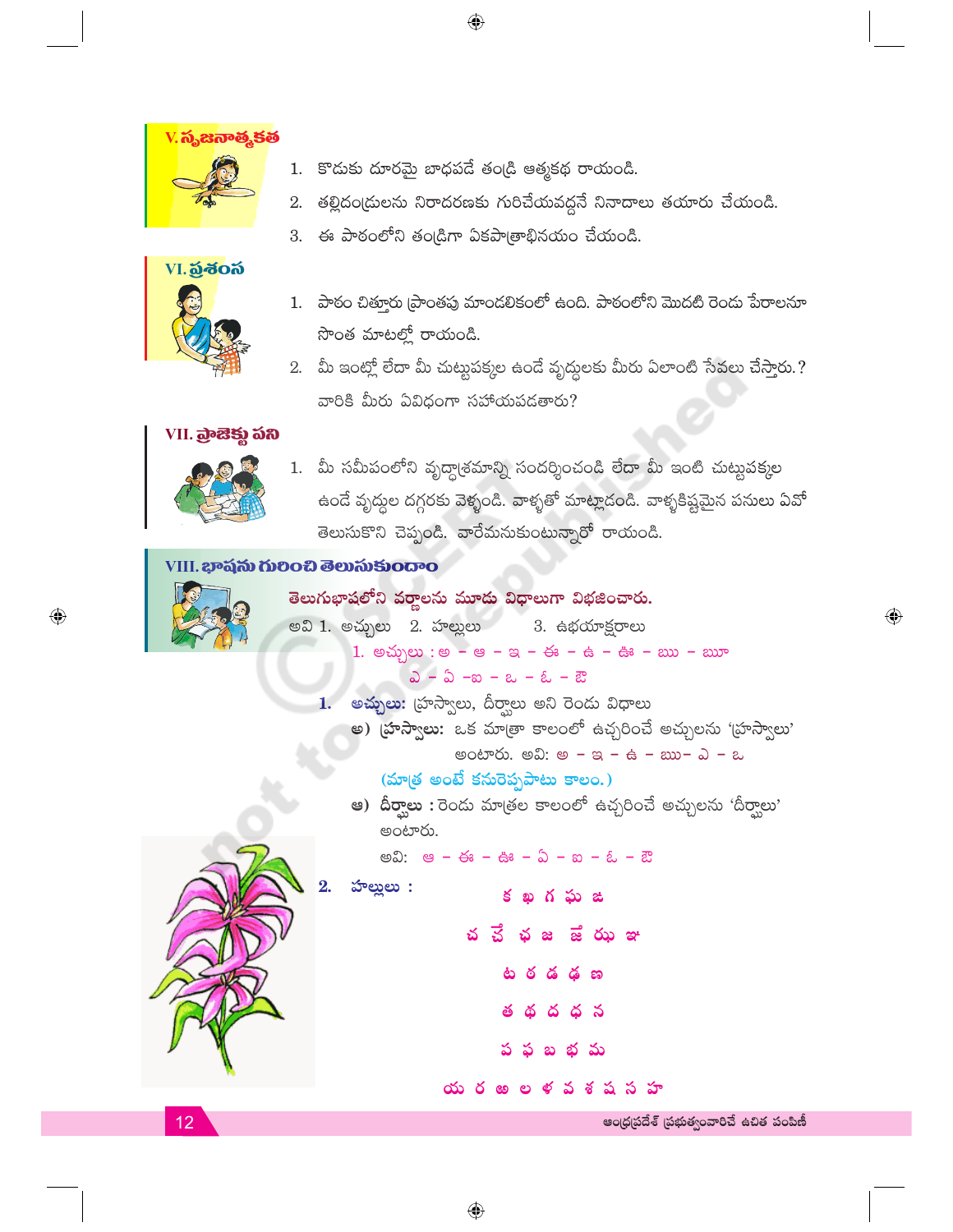

1. కొడుకు దూరమై బాధపడే తండ్రి ఆత్మకథ రాయండి.

 $\bigoplus$ 

- 2. తల్లిదం(దులను నిరాదరణకు గురిచేయవద్దనే నినాదాలు తయారు చేయండి.
- 3. ఈ పాఠంలోని తండ్రిగా ఏకపాత్రాభినయం చేయండి.



- 1. పాఠం చితూరు [పాంతపు మాండలికంలో ఉంది. పాఠంలోని మొదటి రెండు పేరాలనూ సొంత మాటల్లో రాయండి.
- 2. మీ ఇంట్లో లేదా మీ చుట్టుపక్కల ఉండే వృద్ధులకు మీరు ఏలాంటి సేవలు చేస్తారు.? వారికి మీరు ఏవిధంగా సహాయపడతారు?

### VII. మ్రేజెక్టు పని



1. మీ సమీపంలోని వృద్ధా(శమాన్ని సందర్శించండి లేదా మీ ఇంటి చుట్టుపక్కల ఉండే వృద్దల దగ్గరకు వెళ్ళండి. వాళ్ళతో మాట్లాడండి. వాళ్ళకిష్టమైన పనులు ఏవో తెలుసుకొని చెప్పండి. వారేమనుకుంటున్నారో రాయండి.

# VIII. **ಭಾವನು ಗುರಿಂಬಿ ತೆಲುಸುకುಂದಾಂ**



 $\textcolor{black}{\textcircled{\small\textrm{-}}}$ 

తెలుగుభాషలోని వర్ణాలను మూడు విధాలుగా విభజించారు. అవి 1. అచ్చులు 2. హల్లులు 3. ఉభయాక్షరాలు 1. అచ్చులు : అ – ఆ – ఇ – ఈ – ఉ – ఊ – ఋ – ౠ  $2 - 2 - 8 - 8 - 8 - 8$ 

```
1. అ<mark>చ్చులు:</mark> హ్రస్వాలు, దీర్వాలు అని రెండు విధాలు
    అ) బ్రాస్వాలు: ఒక మాత్రా కాలంలో ఉచ్చరించే అచ్చులను 'హ్రస్వాలు'
                  అంటారు. అవి: అ - ఇ - ఉ - ఋ- ఎ - ఒ
        (మాత్ర అంటే కనురెప్పపాటు కాలం.)
    ఆ) దీర్వాలు : రెండు మాత్రల కాలంలో ఉచ్చరించే అచ్చులను 'దీర్వాలు'
        అంటారు.
        అవి: ఆ – ఈ – ఊ – ఏ – ఐ – ఓ – ఔ
2.హాల్లులు :
                         క ఖగఘ జ
                    చ చే
                           ఛ జ జే ఝ ఞ
```
బ భ మ

య రఱల ళవశషసహ



ఆంధ్రప్రదేశ్ (పభుత్వంవారిచే ఉచిత పంపిణీ

 $\bigoplus$